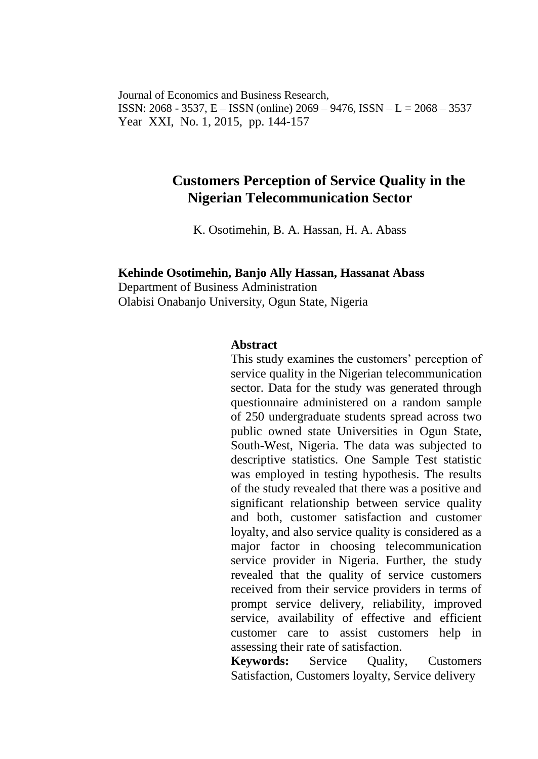Journal of Economics and Business Research, ISSN: 2068 - 3537, E – ISSN (online) 2069 – 9476, ISSN – L = 2068 – 3537 Year XXI, No. 1, 2015, pp. 144-157

## **Customers Perception of Service Quality in the Nigerian Telecommunication Sector**

K. Osotimehin, B. A. Hassan, H. A. Abass

# **Kehinde Osotimehin, Banjo Ally Hassan, Hassanat Abass**

Department of Business Administration Olabisi Onabanjo University, Ogun State, Nigeria

#### **Abstract**

This study examines the customers' perception of service quality in the Nigerian telecommunication sector. Data for the study was generated through questionnaire administered on a random sample of 250 undergraduate students spread across two public owned state Universities in Ogun State, South-West, Nigeria. The data was subjected to descriptive statistics. One Sample Test statistic was employed in testing hypothesis. The results of the study revealed that there was a positive and significant relationship between service quality and both, customer satisfaction and customer loyalty, and also service quality is considered as a major factor in choosing telecommunication service provider in Nigeria. Further, the study revealed that the quality of service customers received from their service providers in terms of prompt service delivery, reliability, improved service, availability of effective and efficient customer care to assist customers help in assessing their rate of satisfaction.

**Keywords:** Service Quality, Customers Satisfaction, Customers loyalty, Service delivery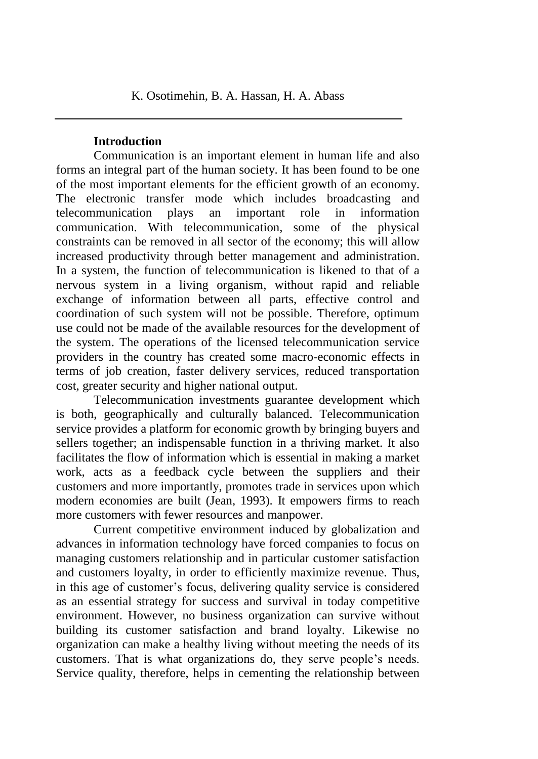### **Introduction**

Communication is an important element in human life and also forms an integral part of the human society. It has been found to be one of the most important elements for the efficient growth of an economy. The electronic transfer mode which includes broadcasting and telecommunication plays an important role in information communication. With telecommunication, some of the physical constraints can be removed in all sector of the economy; this will allow increased productivity through better management and administration. In a system, the function of telecommunication is likened to that of a nervous system in a living organism, without rapid and reliable exchange of information between all parts, effective control and coordination of such system will not be possible. Therefore, optimum use could not be made of the available resources for the development of the system. The operations of the licensed telecommunication service providers in the country has created some macro-economic effects in terms of job creation, faster delivery services, reduced transportation cost, greater security and higher national output.

Telecommunication investments guarantee development which is both, geographically and culturally balanced. Telecommunication service provides a platform for economic growth by bringing buyers and sellers together; an indispensable function in a thriving market. It also facilitates the flow of information which is essential in making a market work, acts as a feedback cycle between the suppliers and their customers and more importantly, promotes trade in services upon which modern economies are built (Jean, 1993). It empowers firms to reach more customers with fewer resources and manpower.

Current competitive environment induced by globalization and advances in information technology have forced companies to focus on managing customers relationship and in particular customer satisfaction and customers loyalty, in order to efficiently maximize revenue. Thus, in this age of customer's focus, delivering quality service is considered as an essential strategy for success and survival in today competitive environment. However, no business organization can survive without building its customer satisfaction and brand loyalty. Likewise no organization can make a healthy living without meeting the needs of its customers. That is what organizations do, they serve people's needs. Service quality, therefore, helps in cementing the relationship between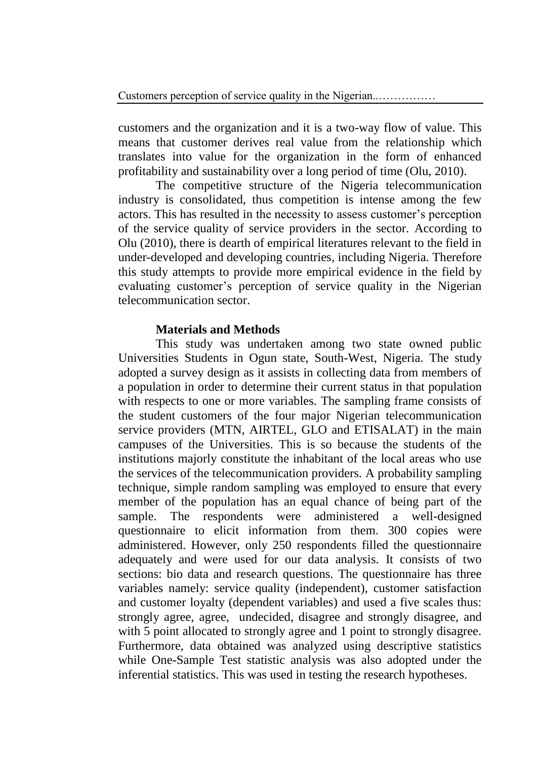customers and the organization and it is a two-way flow of value. This means that customer derives real value from the relationship which translates into value for the organization in the form of enhanced profitability and sustainability over a long period of time (Olu, 2010).

The competitive structure of the Nigeria telecommunication industry is consolidated, thus competition is intense among the few actors. This has resulted in the necessity to assess customer's perception of the service quality of service providers in the sector. According to Olu (2010), there is dearth of empirical literatures relevant to the field in under-developed and developing countries, including Nigeria. Therefore this study attempts to provide more empirical evidence in the field by evaluating customer's perception of service quality in the Nigerian telecommunication sector.

#### **Materials and Methods**

This study was undertaken among two state owned public Universities Students in Ogun state, South-West, Nigeria. The study adopted a survey design as it assists in collecting data from members of a population in order to determine their current status in that population with respects to one or more variables. The sampling frame consists of the student customers of the four major Nigerian telecommunication service providers (MTN, AIRTEL, GLO and ETISALAT) in the main campuses of the Universities. This is so because the students of the institutions majorly constitute the inhabitant of the local areas who use the services of the telecommunication providers. A probability sampling technique, simple random sampling was employed to ensure that every member of the population has an equal chance of being part of the sample. The respondents were administered a well-designed questionnaire to elicit information from them. 300 copies were administered. However, only 250 respondents filled the questionnaire adequately and were used for our data analysis. It consists of two sections: bio data and research questions. The questionnaire has three variables namely: service quality (independent), customer satisfaction and customer loyalty (dependent variables) and used a five scales thus: strongly agree, agree, undecided, disagree and strongly disagree, and with 5 point allocated to strongly agree and 1 point to strongly disagree. Furthermore, data obtained was analyzed using descriptive statistics while One-Sample Test statistic analysis was also adopted under the inferential statistics. This was used in testing the research hypotheses.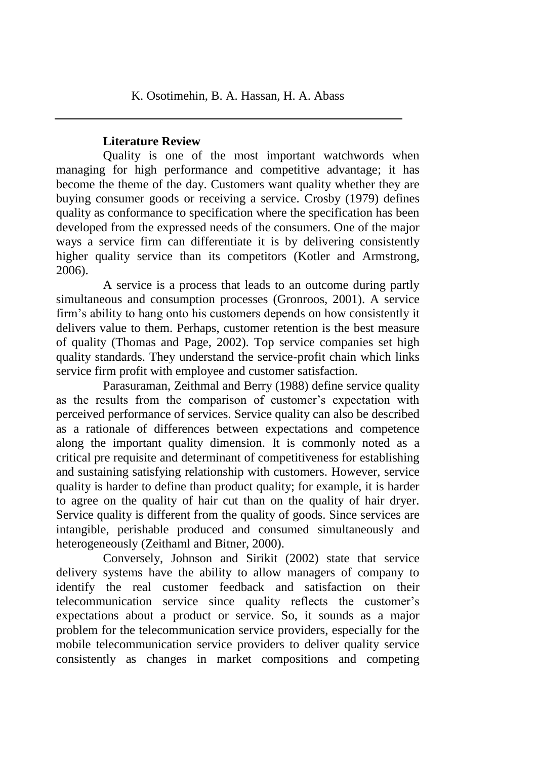### **Literature Review**

Quality is one of the most important watchwords when managing for high performance and competitive advantage; it has become the theme of the day. Customers want quality whether they are buying consumer goods or receiving a service. Crosby (1979) defines quality as conformance to specification where the specification has been developed from the expressed needs of the consumers. One of the major ways a service firm can differentiate it is by delivering consistently higher quality service than its competitors (Kotler and Armstrong, 2006).

A service is a process that leads to an outcome during partly simultaneous and consumption processes (Gronroos, 2001). A service firm's ability to hang onto his customers depends on how consistently it delivers value to them. Perhaps, customer retention is the best measure of quality (Thomas and Page, 2002). Top service companies set high quality standards. They understand the service-profit chain which links service firm profit with employee and customer satisfaction.

Parasuraman, Zeithmal and Berry (1988) define service quality as the results from the comparison of customer's expectation with perceived performance of services. Service quality can also be described as a rationale of differences between expectations and competence along the important quality dimension. It is commonly noted as a critical pre requisite and determinant of competitiveness for establishing and sustaining satisfying relationship with customers. However, service quality is harder to define than product quality; for example, it is harder to agree on the quality of hair cut than on the quality of hair dryer. Service quality is different from the quality of goods. Since services are intangible, perishable produced and consumed simultaneously and heterogeneously (Zeithaml and Bitner, 2000).

Conversely, Johnson and Sirikit (2002) state that service delivery systems have the ability to allow managers of company to identify the real customer feedback and satisfaction on their telecommunication service since quality reflects the customer's expectations about a product or service. So, it sounds as a major problem for the telecommunication service providers, especially for the mobile telecommunication service providers to deliver quality service consistently as changes in market compositions and competing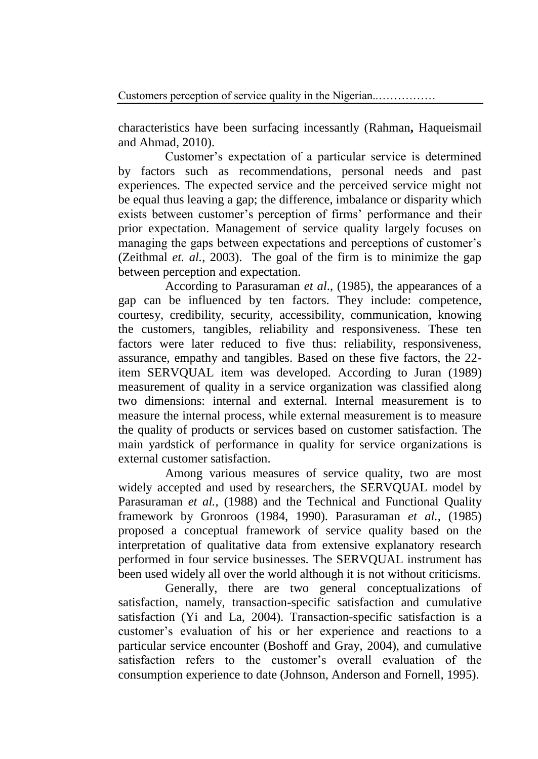characteristics have been surfacing incessantly (Rahman**,** Haqueismail and Ahmad, 2010).

Customer's expectation of a particular service is determined by factors such as recommendations, personal needs and past experiences. The expected service and the perceived service might not be equal thus leaving a gap; the difference, imbalance or disparity which exists between customer's perception of firms' performance and their prior expectation. Management of service quality largely focuses on managing the gaps between expectations and perceptions of customer's (Zeithmal *et. al.*, 2003). The goal of the firm is to minimize the gap between perception and expectation.

According to Parasuraman *et al*., (1985), the appearances of a gap can be influenced by ten factors. They include: competence, courtesy, credibility, security, accessibility, communication, knowing the customers, tangibles, reliability and responsiveness. These ten factors were later reduced to five thus: reliability, responsiveness, assurance, empathy and tangibles. Based on these five factors, the 22 item SERVQUAL item was developed. According to Juran (1989) measurement of quality in a service organization was classified along two dimensions: internal and external. Internal measurement is to measure the internal process, while external measurement is to measure the quality of products or services based on customer satisfaction. The main yardstick of performance in quality for service organizations is external customer satisfaction.

Among various measures of service quality, two are most widely accepted and used by researchers, the SERVQUAL model by Parasuraman *et al.,* (1988) and the Technical and Functional Quality framework by Gronroos (1984, 1990). Parasuraman *et al.,* (1985) proposed a conceptual framework of service quality based on the interpretation of qualitative data from extensive explanatory research performed in four service businesses. The SERVQUAL instrument has been used widely all over the world although it is not without criticisms.

Generally, there are two general conceptualizations of satisfaction, namely, transaction-specific satisfaction and cumulative satisfaction (Yi and La, 2004). Transaction-specific satisfaction is a customer's evaluation of his or her experience and reactions to a particular service encounter (Boshoff and Gray, 2004), and cumulative satisfaction refers to the customer's overall evaluation of the consumption experience to date (Johnson, Anderson and Fornell, 1995).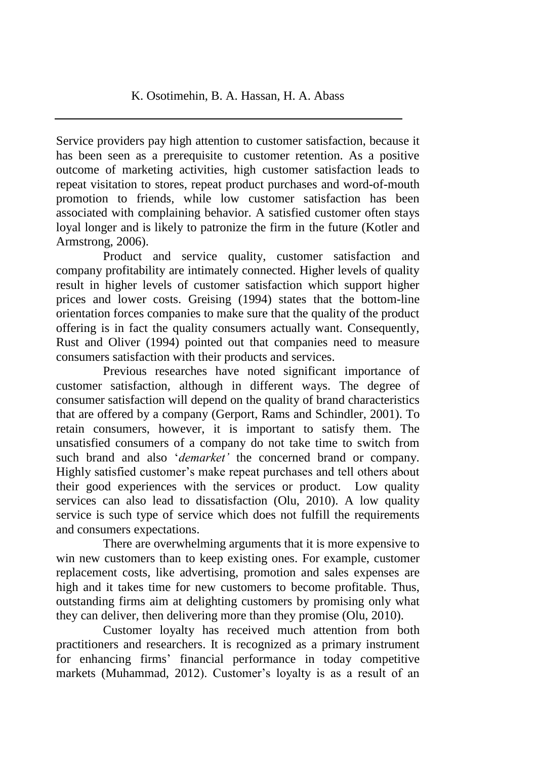Service providers pay high attention to customer satisfaction, because it has been seen as a prerequisite to customer retention. As a positive outcome of marketing activities, high customer satisfaction leads to repeat visitation to stores, repeat product purchases and word-of-mouth promotion to friends, while low customer satisfaction has been associated with complaining behavior. A satisfied customer often stays loyal longer and is likely to patronize the firm in the future (Kotler and Armstrong, 2006).

Product and service quality, customer satisfaction and company profitability are intimately connected. Higher levels of quality result in higher levels of customer satisfaction which support higher prices and lower costs. Greising (1994) states that the bottom-line orientation forces companies to make sure that the quality of the product offering is in fact the quality consumers actually want. Consequently, Rust and Oliver (1994) pointed out that companies need to measure consumers satisfaction with their products and services.

Previous researches have noted significant importance of customer satisfaction, although in different ways. The degree of consumer satisfaction will depend on the quality of brand characteristics that are offered by a company (Gerport, Rams and Schindler, 2001). To retain consumers, however, it is important to satisfy them. The unsatisfied consumers of a company do not take time to switch from such brand and also '*demarket'* the concerned brand or company. Highly satisfied customer's make repeat purchases and tell others about their good experiences with the services or product. Low quality services can also lead to dissatisfaction (Olu, 2010). A low quality service is such type of service which does not fulfill the requirements and consumers expectations.

There are overwhelming arguments that it is more expensive to win new customers than to keep existing ones. For example, customer replacement costs, like advertising, promotion and sales expenses are high and it takes time for new customers to become profitable. Thus, outstanding firms aim at delighting customers by promising only what they can deliver, then delivering more than they promise (Olu, 2010).

Customer loyalty has received much attention from both practitioners and researchers. It is recognized as a primary instrument for enhancing firms' financial performance in today competitive markets (Muhammad, 2012). Customer's loyalty is as a result of an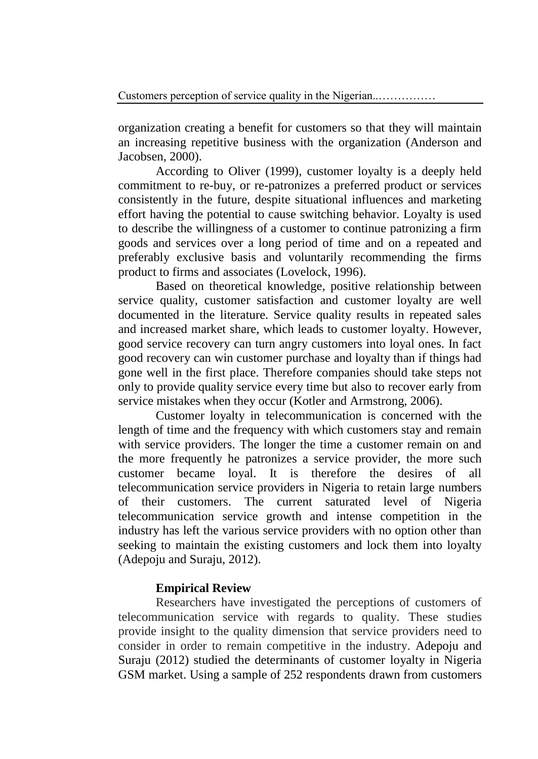organization creating a benefit for customers so that they will maintain an increasing repetitive business with the organization (Anderson and Jacobsen, 2000).

According to Oliver (1999), customer loyalty is a deeply held commitment to re-buy, or re-patronizes a preferred product or services consistently in the future, despite situational influences and marketing effort having the potential to cause switching behavior. Loyalty is used to describe the willingness of a customer to continue patronizing a firm goods and services over a long period of time and on a repeated and preferably exclusive basis and voluntarily recommending the firms product to firms and associates (Lovelock, 1996).

Based on theoretical knowledge, positive relationship between service quality, customer satisfaction and customer loyalty are well documented in the literature. Service quality results in repeated sales and increased market share, which leads to customer loyalty. However, good service recovery can turn angry customers into loyal ones. In fact good recovery can win customer purchase and loyalty than if things had gone well in the first place. Therefore companies should take steps not only to provide quality service every time but also to recover early from service mistakes when they occur (Kotler and Armstrong, 2006).

Customer loyalty in telecommunication is concerned with the length of time and the frequency with which customers stay and remain with service providers. The longer the time a customer remain on and the more frequently he patronizes a service provider, the more such customer became loyal. It is therefore the desires of all telecommunication service providers in Nigeria to retain large numbers of their customers. The current saturated level of Nigeria telecommunication service growth and intense competition in the industry has left the various service providers with no option other than seeking to maintain the existing customers and lock them into loyalty (Adepoju and Suraju, 2012).

### **Empirical Review**

Researchers have investigated the perceptions of customers of telecommunication service with regards to quality. These studies provide insight to the quality dimension that service providers need to consider in order to remain competitive in the industry. Adepoju and Suraju (2012) studied the determinants of customer loyalty in Nigeria GSM market. Using a sample of 252 respondents drawn from customers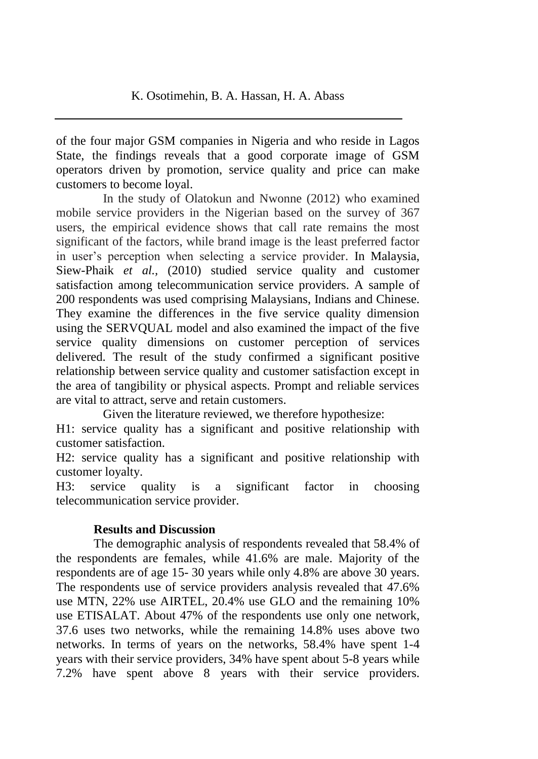of the four major GSM companies in Nigeria and who reside in Lagos State, the findings reveals that a good corporate image of GSM operators driven by promotion, service quality and price can make customers to become loyal.

In the study of Olatokun and Nwonne (2012) who examined mobile service providers in the Nigerian based on the survey of 367 users, the empirical evidence shows that call rate remains the most significant of the factors, while brand image is the least preferred factor in user's perception when selecting a service provider. In Malaysia, Siew-Phaik *et al.,* (2010) studied service quality and customer satisfaction among telecommunication service providers. A sample of 200 respondents was used comprising Malaysians, Indians and Chinese. They examine the differences in the five service quality dimension using the SERVQUAL model and also examined the impact of the five service quality dimensions on customer perception of services delivered. The result of the study confirmed a significant positive relationship between service quality and customer satisfaction except in the area of tangibility or physical aspects. Prompt and reliable services are vital to attract, serve and retain customers.

Given the literature reviewed, we therefore hypothesize:

H1: service quality has a significant and positive relationship with customer satisfaction.

H2: service quality has a significant and positive relationship with customer loyalty.

H3: service quality is a significant factor in choosing telecommunication service provider.

### **Results and Discussion**

The demographic analysis of respondents revealed that 58.4% of the respondents are females, while 41.6% are male. Majority of the respondents are of age 15- 30 years while only 4.8% are above 30 years. The respondents use of service providers analysis revealed that 47.6% use MTN, 22% use AIRTEL, 20.4% use GLO and the remaining 10% use ETISALAT. About 47% of the respondents use only one network, 37.6 uses two networks, while the remaining 14.8% uses above two networks. In terms of years on the networks, 58.4% have spent 1-4 years with their service providers, 34% have spent about 5-8 years while 7.2% have spent above 8 years with their service providers.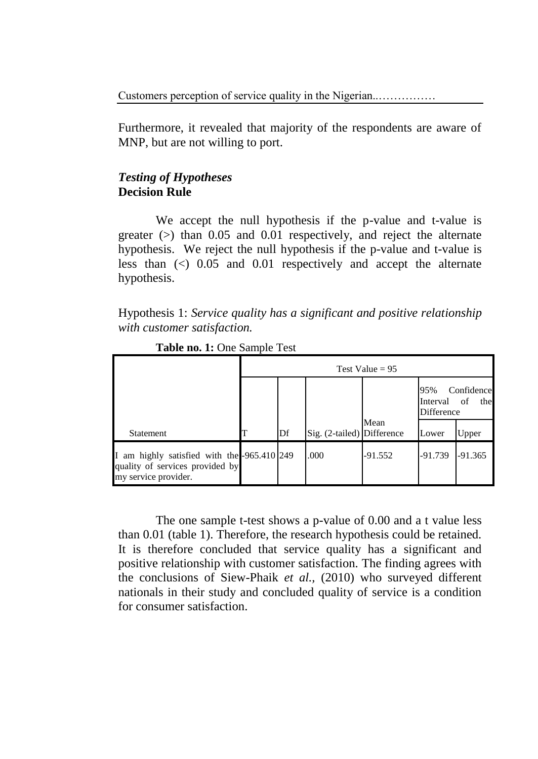Customers perception of service quality in the Nigerian..……………

Furthermore, it revealed that majority of the respondents are aware of MNP, but are not willing to port.

### *Testing of Hypotheses* **Decision Rule**

We accept the null hypothesis if the p-value and t-value is greater  $(>)$  than 0.05 and 0.01 respectively, and reject the alternate hypothesis. We reject the null hypothesis if the p-value and t-value is less than (<) 0.05 and 0.01 respectively and accept the alternate hypothesis.

Hypothesis 1: *Service quality has a significant and positive relationship with customer satisfaction.*

|                                                                                                        | Test Value = $95$ |    |                            |           |                                                          |           |  |
|--------------------------------------------------------------------------------------------------------|-------------------|----|----------------------------|-----------|----------------------------------------------------------|-----------|--|
|                                                                                                        |                   |    |                            |           | Confidence<br>95%<br>of<br>the<br>Interval<br>Difference |           |  |
| Statement                                                                                              |                   | Df | Sig. (2-tailed) Difference | Mean      | Lower                                                    | Upper     |  |
| I am highly satisfied with the -965.410 249<br>quality of services provided by<br>my service provider. |                   |    | .000                       | $-91.552$ | $-91.739$                                                | $-91.365$ |  |

**Table no. 1:** One Sample Test

The one sample t-test shows a p-value of 0.00 and a t value less than 0.01 (table 1). Therefore, the research hypothesis could be retained. It is therefore concluded that service quality has a significant and positive relationship with customer satisfaction. The finding agrees with the conclusions of Siew-Phaik *et al.,* (2010) who surveyed different nationals in their study and concluded quality of service is a condition for consumer satisfaction.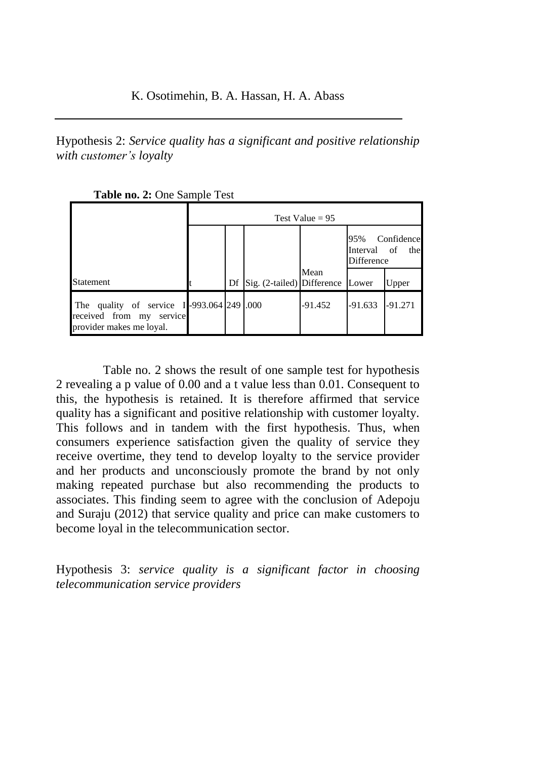Hypothesis 2: *Service quality has a significant and positive relationship with customer's loyalty*

| Table no. 2: One Sample Test |
|------------------------------|
|------------------------------|

|                                                                                                   | Test Value = $95$ |  |                                     |           |                                                       |           |  |
|---------------------------------------------------------------------------------------------------|-------------------|--|-------------------------------------|-----------|-------------------------------------------------------|-----------|--|
|                                                                                                   |                   |  |                                     |           | Confidence<br>95%<br>Interval of<br>the<br>Difference |           |  |
| Statement                                                                                         |                   |  | Df Sig. (2-tailed) Difference Lower | Mean      |                                                       | Upper     |  |
| The quality of service I-993.064 249 .000<br>received from my service<br>provider makes me loyal. |                   |  |                                     | $-91.452$ | $-91.633$                                             | $-91.271$ |  |

Table no. 2 shows the result of one sample test for hypothesis 2 revealing a p value of 0.00 and a t value less than 0.01. Consequent to this, the hypothesis is retained. It is therefore affirmed that service quality has a significant and positive relationship with customer loyalty. This follows and in tandem with the first hypothesis. Thus, when consumers experience satisfaction given the quality of service they receive overtime, they tend to develop loyalty to the service provider and her products and unconsciously promote the brand by not only making repeated purchase but also recommending the products to associates. This finding seem to agree with the conclusion of Adepoju and Suraju (2012) that service quality and price can make customers to become loyal in the telecommunication sector.

Hypothesis 3: *service quality is a significant factor in choosing telecommunication service providers*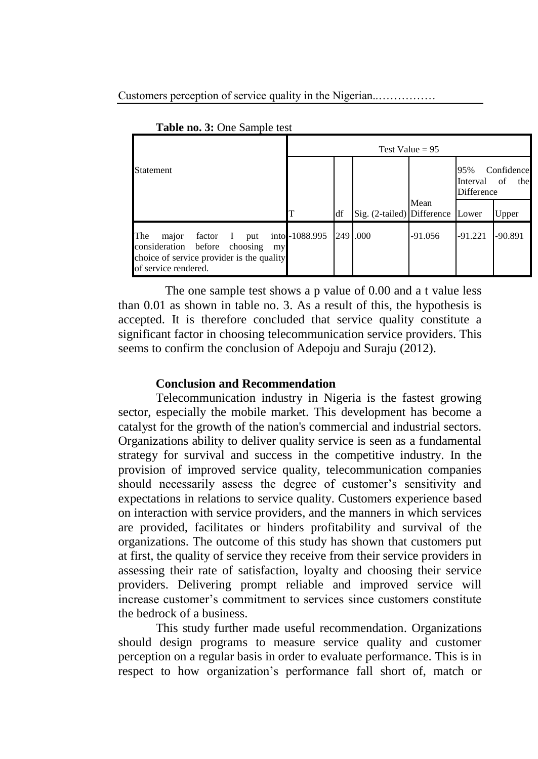Customers perception of service quality in the Nigerian..……………

|                                                                                                                                                | Test Value = $95$ |    |                            |           |                                                          |           |  |
|------------------------------------------------------------------------------------------------------------------------------------------------|-------------------|----|----------------------------|-----------|----------------------------------------------------------|-----------|--|
| Statement                                                                                                                                      |                   |    |                            |           | 95%<br>Confidence<br>of<br>the<br>Interval<br>Difference |           |  |
|                                                                                                                                                |                   | df | Sig. (2-tailed) Difference | Mean      | Lower                                                    | Upper     |  |
| The<br>factor I<br>major<br>put<br>consideration before<br>choosing<br>my<br>choice of service provider is the quality<br>of service rendered. | into -1088.995    |    | 249 .000                   | $-91.056$ | $-91.221$                                                | $-90.891$ |  |

**Table no. 3:** One Sample test

The one sample test shows a p value of 0.00 and a t value less than 0.01 as shown in table no. 3. As a result of this, the hypothesis is accepted. It is therefore concluded that service quality constitute a significant factor in choosing telecommunication service providers. This seems to confirm the conclusion of Adepoju and Suraju (2012).

### **Conclusion and Recommendation**

Telecommunication industry in Nigeria is the fastest growing sector, especially the mobile market. This development has become a catalyst for the growth of the nation's commercial and industrial sectors. Organizations ability to deliver quality service is seen as a fundamental strategy for survival and success in the competitive industry. In the provision of improved service quality, telecommunication companies should necessarily assess the degree of customer's sensitivity and expectations in relations to service quality. Customers experience based on interaction with service providers, and the manners in which services are provided, facilitates or hinders profitability and survival of the organizations. The outcome of this study has shown that customers put at first, the quality of service they receive from their service providers in assessing their rate of satisfaction, loyalty and choosing their service providers. Delivering prompt reliable and improved service will increase customer's commitment to services since customers constitute the bedrock of a business.

This study further made useful recommendation. Organizations should design programs to measure service quality and customer perception on a regular basis in order to evaluate performance. This is in respect to how organization's performance fall short of, match or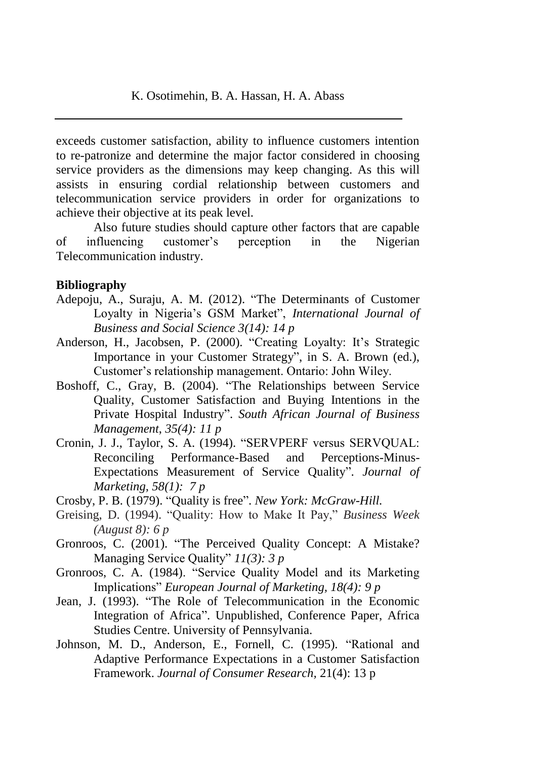exceeds customer satisfaction, ability to influence customers intention to re-patronize and determine the major factor considered in choosing service providers as the dimensions may keep changing. As this will assists in ensuring cordial relationship between customers and telecommunication service providers in order for organizations to achieve their objective at its peak level.

Also future studies should capture other factors that are capable of influencing customer's perception in the Nigerian Telecommunication industry.

#### **Bibliography**

- Adepoju, A., Suraju, A. M. (2012). "The Determinants of Customer Loyalty in Nigeria's GSM Market", *International Journal of Business and Social Science 3(14): 14 p*
- Anderson, H., Jacobsen, P. (2000). "Creating Loyalty: It's Strategic Importance in your Customer Strategy", in S. A. Brown (ed.), Customer's relationship management. Ontario: John Wiley.
- Boshoff, C., Gray, B. (2004). "The Relationships between Service Quality, Customer Satisfaction and Buying Intentions in the Private Hospital Industry". *South African Journal of Business Management*, *35(4): 11 p*
- Cronin, J. J., Taylor, S. A. (1994). "SERVPERF versus SERVQUAL: Reconciling Performance-Based and Perceptions-Minus-Expectations Measurement of Service Quality". *Journal of Marketing, 58(1): 7 p*
- Crosby, P. B. (1979). "Quality is free". *New York: McGraw-Hill.*
- Greising, D. (1994). "Quality: How to Make It Pay," *Business Week (August 8): 6 p*
- Gronroos, C. (2001). "The Perceived Quality Concept: A Mistake? Managing Service Quality" *11(3): 3 p*
- Gronroos, C. A. (1984). "Service Quality Model and its Marketing Implications" *European Journal of Marketing, 18(4): 9 p*
- Jean, J. (1993). "The Role of Telecommunication in the Economic Integration of Africa". Unpublished, Conference Paper, Africa Studies Centre. University of Pennsylvania.
- Johnson, M. D., Anderson, E., Fornell, C. (1995). "Rational and Adaptive Performance Expectations in a Customer Satisfaction Framework. *Journal of Consumer Research,* 21(4): 13 p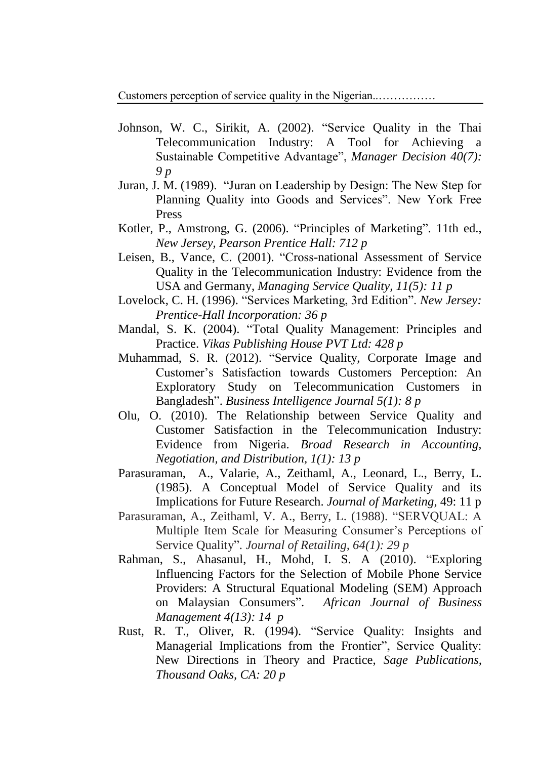Customers perception of service quality in the Nigerian..……………

- Johnson, W. C., Sirikit, A. (2002). "Service Quality in the Thai Telecommunication Industry: A Tool for Achieving a Sustainable Competitive Advantage", *Manager Decision 40(7): 9 p*
- Juran, J. M. (1989). "Juran on Leadership by Design: The New Step for Planning Quality into Goods and Services". New York Free Press
- Kotler, P., Amstrong, G. (2006). "Principles of Marketing". 11th ed., *New Jersey, Pearson Prentice Hall: 712 p*
- Leisen, B., Vance, C. (2001). "Cross-national Assessment of Service Quality in the Telecommunication Industry: Evidence from the USA and Germany, *Managing Service Quality, 11(5): 11 p*
- Lovelock, C. H. (1996). "Services Marketing, 3rd Edition". *New Jersey: Prentice-Hall Incorporation: 36 p*
- Mandal, S. K. (2004). "Total Quality Management: Principles and Practice. *Vikas Publishing House PVT Ltd: 428 p*
- Muhammad, S. R. (2012). "Service Quality, Corporate Image and Customer's Satisfaction towards Customers Perception: An Exploratory Study on Telecommunication Customers in Bangladesh". *Business Intelligence Journal 5(1): 8 p*
- Olu, O. (2010). The Relationship between Service Quality and Customer Satisfaction in the Telecommunication Industry: Evidence from Nigeria. *Broad Research in Accounting, Negotiation, and Distribution, 1(1): 13 p*
- Parasuraman, A., Valarie, A., Zeithaml, A., Leonard, L., Berry, L. (1985). A Conceptual Model of Service Quality and its Implications for Future Research. *Journal of Marketing*, 49: 11 p
- Parasuraman, A., Zeithaml, V. A., Berry, L. (1988). "SERVQUAL: A Multiple Item Scale for Measuring Consumer's Perceptions of Service Quality". *Journal of Retailing, 64(1): 29 p*
- Rahman, S., Ahasanul, H., Mohd, I. S. A (2010). "Exploring Influencing Factors for the Selection of Mobile Phone Service Providers: A Structural Equational Modeling (SEM) Approach on Malaysian Consumers". *African Journal of Business Management 4(13): 14 p*
- Rust, R. T., Oliver, R. (1994). "Service Quality: Insights and Managerial Implications from the Frontier", Service Quality: New Directions in Theory and Practice, *Sage Publications, Thousand Oaks, CA: 20 p*